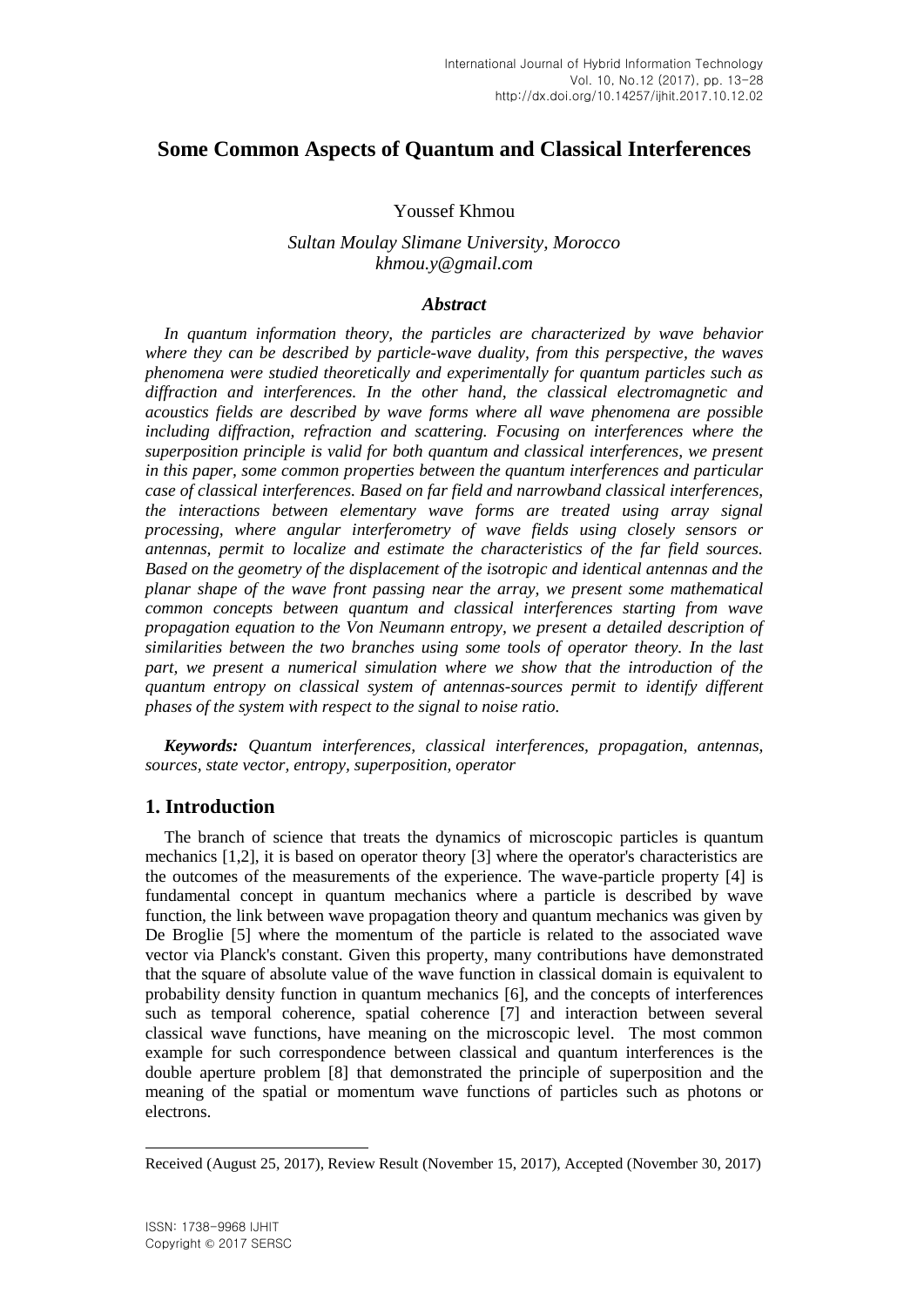# **Some Common Aspects of Quantum and Classical Interferences**

#### Youssef Khmou

## *Sultan Moulay Slimane University, Morocco khmou.y@gmail.com*

#### *Abstract*

*In quantum information theory, the particles are characterized by wave behavior where they can be described by particle-wave duality, from this perspective, the waves phenomena were studied theoretically and experimentally for quantum particles such as diffraction and interferences. In the other hand, the classical electromagnetic and acoustics fields are described by wave forms where all wave phenomena are possible*  including diffraction, refraction and scattering. Focusing on interferences where the *superposition principle is valid for both quantum and classical interferences, we present in this paper, some common properties between the quantum interferences and particular case of classical interferences. Based on far field and narrowband classical interferences, the interactions between elementary wave forms are treated using array signal processing, where angular interferometry of wave fields using closely sensors or antennas, permit to localize and estimate the characteristics of the far field sources. Based on the geometry of the displacement of the isotropic and identical antennas and the planar shape of the wave front passing near the array, we present some mathematical common concepts between quantum and classical interferences starting from wave propagation equation to the Von Neumann entropy, we present a detailed description of similarities between the two branches using some tools of operator theory. In the last*  part, we present a numerical simulation where we show that the introduction of the *quantum entropy on classical system of antennas-sources permit to identify different phases of the system with respect to the signal to noise ratio.*

*Keywords: Quantum interferences, classical interferences, propagation, antennas, sources, state vector, entropy, superposition, operator*

## **1. Introduction**

The branch of science that treats the dynamics of microscopic particles is quantum mechanics [1,2], it is based on operator theory [3] where the operator's characteristics are the outcomes of the measurements of the experience. The wave-particle property [4] is fundamental concept in quantum mechanics where a particle is described by wave function, the link between wave propagation theory and quantum mechanics was given by De Broglie [5] where the momentum of the particle is related to the associated wave vector via Planck's constant. Given this property, many contributions have demonstrated that the square of absolute value of the wave function in classical domain is equivalent to probability density function in quantum mechanics [6], and the concepts of interferences such as temporal coherence, spatial coherence [7] and interaction between several classical wave functions, have meaning on the microscopic level. The most common example for such correspondence between classical and quantum interferences is the double aperture problem [8] that demonstrated the principle of superposition and the meaning of the spatial or momentum wave functions of particles such as photons or electrons.

l

Received (August 25, 2017), Review Result (November 15, 2017), Accepted (November 30, 2017)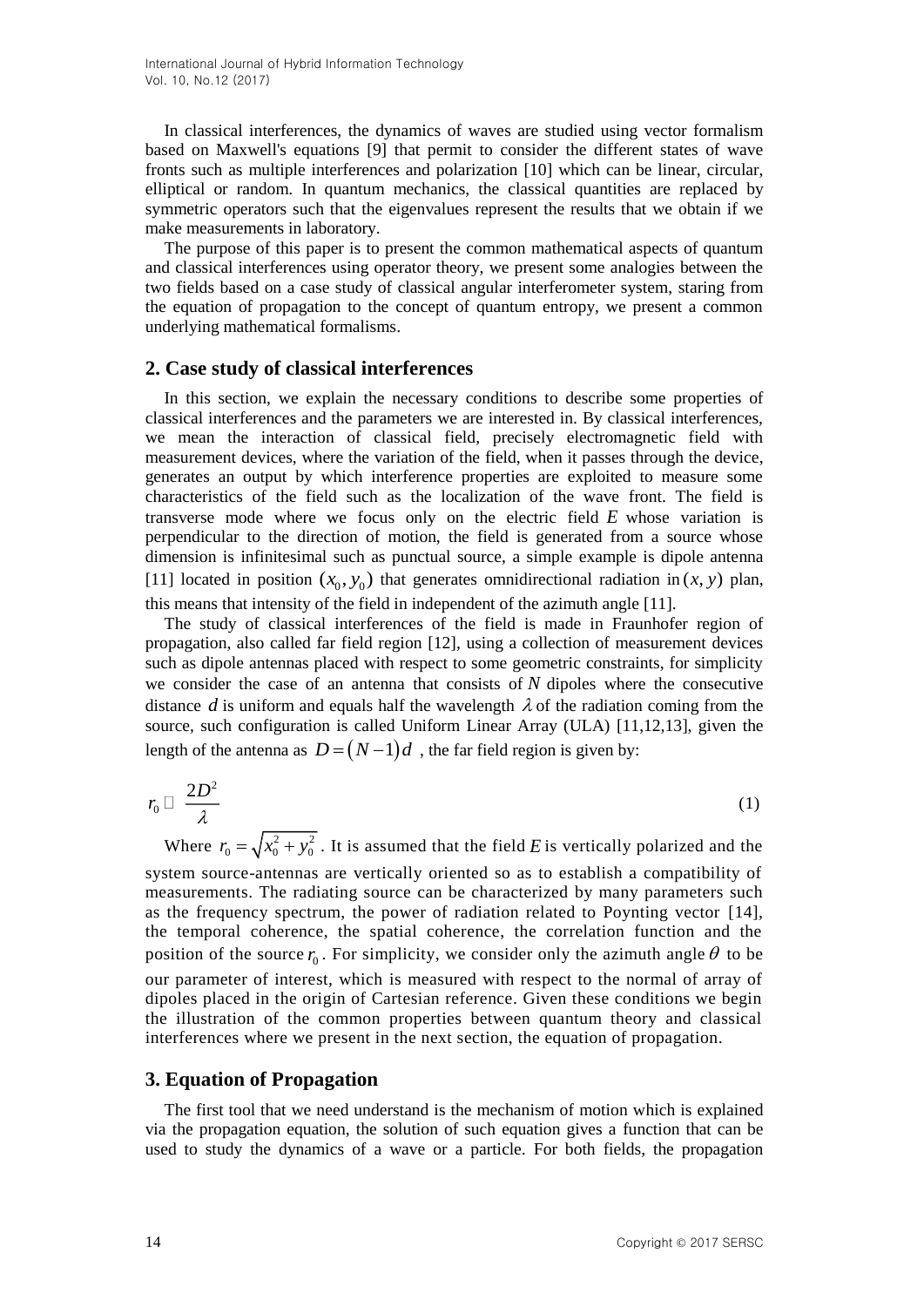In classical interferences, the dynamics of waves are studied using vector formalism based on Maxwell's equations [9] that permit to consider the different states of wave fronts such as multiple interferences and polarization [10] which can be linear, circular, elliptical or random. In quantum mechanics, the classical quantities are replaced by symmetric operators such that the eigenvalues represent the results that we obtain if we make measurements in laboratory.

The purpose of this paper is to present the common mathematical aspects of quantum and classical interferences using operator theory, we present some analogies between the two fields based on a case study of classical angular interferometer system, staring from the equation of propagation to the concept of quantum entropy, we present a common underlying mathematical formalisms.

## **2. Case study of classical interferences**

In this section, we explain the necessary conditions to describe some properties of classical interferences and the parameters we are interested in. By classical interferences, we mean the interaction of classical field, precisely electromagnetic field with measurement devices, where the variation of the field, when it passes through the device, generates an output by which interference properties are exploited to measure some characteristics of the field such as the localization of the wave front. The field is transverse mode where we focus only on the electric field *E* whose variation is perpendicular to the direction of motion, the field is generated from a source whose dimension is infinitesimal such as punctual source, a simple example is dipole antenna [11] located in position  $(x_0, y_0)$  that generates omnidirectional radiation in  $(x, y)$  plan, this means that intensity of the field in independent of the azimuth angle [11].

The study of classical interferences of the field is made in Fraunhofer region of propagation, also called far field region [12], using a collection of measurement devices such as dipole antennas placed with respect to some geometric constraints, for simplicity we consider the case of an antenna that consists of  $N$  dipoles where the consecutive distance  $d$  is uniform and equals half the wavelength  $\lambda$  of the radiation coming from the source, such configuration is called Uniform Linear Array (ULA) [11,12,13], given the length of the antenna as  $D = (N-1)d$  , the far field region is given by:

$$
r_0 \Box \frac{2D^2}{\lambda} \tag{1}
$$

Where  $r_0 = \sqrt{x_0^2 + y_0^2}$ . It is assumed that the field *E* is vertically polarized and the system source-antennas are vertically oriented so as to establish a compatibility of measurements. The radiating source can be characterized by many parameters such as the frequency spectrum, the power of radiation related to Poynting vector [14], the temporal coherence, the spatial coherence, the correlation function and the position of the source  $r_0$ . For simplicity, we consider only the azimuth angle  $\theta$  to be our parameter of interest, which is measured with respect to the normal of array of dipoles placed in the origin of Cartesian reference. Given these conditions we begin the illustration of the common properties between quantum theory and classical interferences where we present in the next section, the equation of propagation.

#### **3. Equation of Propagation**

The first tool that we need understand is the mechanism of motion which is explained via the propagation equation, the solution of such equation gives a function that can be used to study the dynamics of a wave or a particle. For both fields, the propagation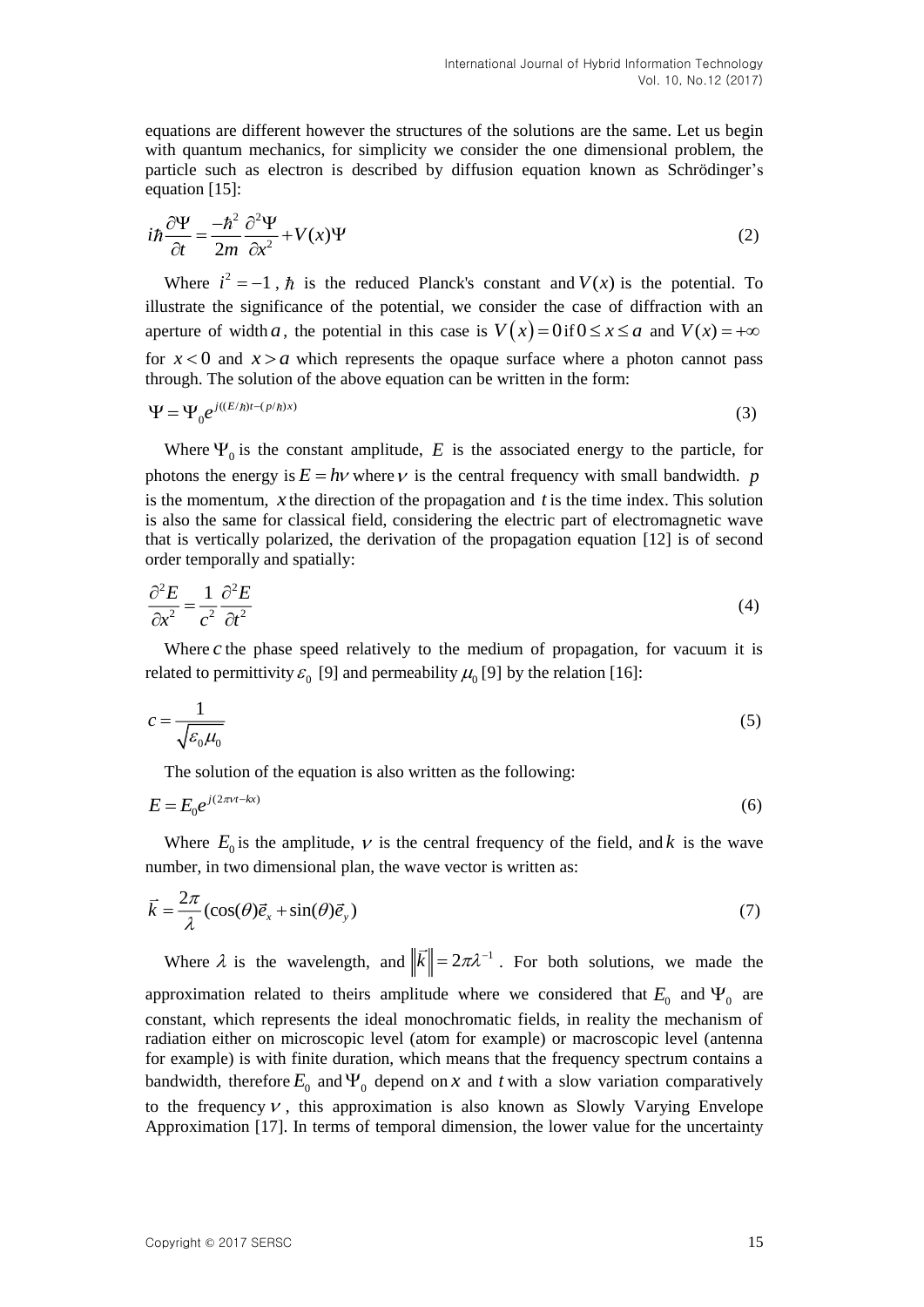equations are different however the structures of the solutions are the same. Let us begin with quantum mechanics, for simplicity we consider the one dimensional problem, the particle such as electron is described by diffusion equation known as Schrödinger's equation [15]:

$$
i\hbar \frac{\partial \Psi}{\partial t} = \frac{-\hbar^2}{2m} \frac{\partial^2 \Psi}{\partial x^2} + V(x)\Psi
$$
 (2)

Where  $i^2 = -1$ ,  $\hbar$  is the reduced Planck's constant and  $V(x)$  is the potential. To illustrate the significance of the potential, we consider the case of diffraction with an aperture of width a, the potential in this case is  $V(x) = 0$  if  $0 \le x \le a$  and  $V(x) = +\infty$ for  $x < 0$  and  $x > a$  which represents the opaque surface where a photon cannot pass through. The solution of the above equation can be written in the form:

$$
\Psi = \Psi_0 e^{j((E/\hbar)t - (p/\hbar)x)}
$$
\n(3)

Where  $\Psi_0$  is the constant amplitude, E is the associated energy to the particle, for photons the energy is  $E = h\nu$  where  $\nu$  is the central frequency with small bandwidth.  $p$ is the momentum,  $x$  the direction of the propagation and  $t$  is the time index. This solution is also the same for classical field, considering the electric part of electromagnetic wave that is vertically polarized, the derivation of the propagation equation [12] is of second order temporally and spatially:

$$
\frac{\partial^2 E}{\partial x^2} = \frac{1}{c^2} \frac{\partial^2 E}{\partial t^2}
$$
 (4)

Where  $c$  the phase speed relatively to the medium of propagation, for vacuum it is related to permittivity  $\varepsilon_0$  [9] and permeability  $\mu_0$  [9] by the relation [16]:

$$
c = \frac{1}{\sqrt{\varepsilon_0 \mu_0}}\tag{5}
$$

The solution of the equation is also written as the following:

$$
E = E_0 e^{j(2\pi\nu t - kx)}\tag{6}
$$

Where  $E_0$  is the amplitude,  $\nu$  is the central frequency of the field, and k is the wave number, in two dimensional plan, the wave vector is written as:

$$
\vec{k} = \frac{2\pi}{\lambda} (\cos(\theta)\vec{e}_x + \sin(\theta)\vec{e}_y)
$$
\n(7)

Where  $\lambda$  is the wavelength, and  $\|\bar{k}\| = 2\pi\lambda^{-1}$ . For both solutions, we made the approximation related to theirs amplitude where we considered that  $E_0$  and  $\Psi_0$  are constant, which represents the ideal monochromatic fields, in reality the mechanism of radiation either on microscopic level (atom for example) or macroscopic level (antenna for example) is with finite duration, which means that the frequency spectrum contains a bandwidth, therefore  $E_0$  and  $\Psi_0$  depend on x and t with a slow variation comparatively to the frequency  $\nu$ , this approximation is also known as Slowly Varying Envelope Approximation [17]. In terms of temporal dimension, the lower value for the uncertainty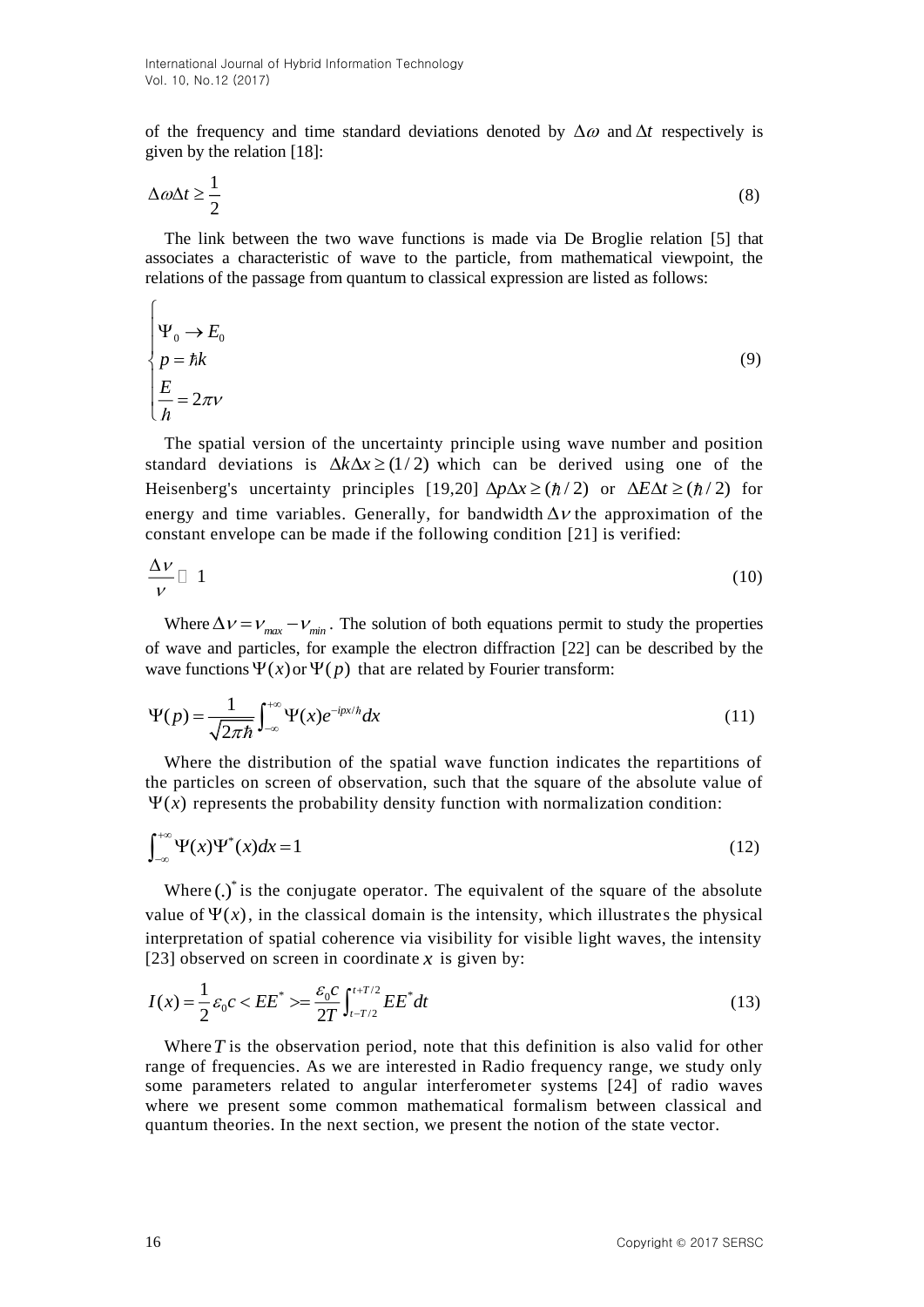of the frequency and time standard deviations denoted by  $\Delta\omega$  and  $\Delta t$  respectively is given by the relation [18]:

$$
\Delta \omega \Delta t \ge \frac{1}{2} \tag{8}
$$

The link between the two wave functions is made via De Broglie relation [5] that associates a characteristic of wave to the particle, from mathematical viewpoint, the relations of the passage from quantum to classical expression are listed as follows:

$$
\begin{cases}\n\Psi_0 \to E_0 \\
p = \hbar k \\
\frac{E}{\hbar} = 2\pi \nu\n\end{cases}
$$
\n(9)

The spatial version of the uncertainty principle using wave number and position standard deviations is  $\Delta k \Delta x \ge (1/2)$  which can be derived using one of the Heisenberg's uncertainty principles [19,20]  $\Delta p \Delta x \ge (\hbar/2)$  or  $\Delta E \Delta t \ge (\hbar/2)$  for energy and time variables. Generally, for bandwidth  $\Delta v$  the approximation of the constant envelope can be made if the following condition [21] is verified:

$$
\frac{\Delta v}{v} \Box 1 \tag{10}
$$

Where  $\Delta v = v_{max} - v_{min}$ . The solution of both equations permit to study the properties of wave and particles, for example the electron diffraction [22] can be described by the wave functions  $\Psi(x)$  or  $\Psi(p)$  that are related by Fourier transform:

$$
\Psi(p) = \frac{1}{\sqrt{2\pi\hbar}} \int_{-\infty}^{+\infty} \Psi(x) e^{-ipx/\hbar} dx
$$
\n(11)

Where the distribution of the spatial wave function indicates the repartitions of the particles on screen of observation, such that the square of the absolute value of  $\Psi(x)$  represents the probability density function with normalization condition:

$$
\int_{-\infty}^{+\infty} \Psi(x) \Psi^*(x) dx = 1 \tag{12}
$$

Where  $(.)^*$  is the conjugate operator. The equivalent of the square of the absolute value of  $\Psi(x)$ , in the classical domain is the intensity, which illustrates the physical interpretation of spatial coherence via visibility for visible light waves, the intensity [23] observed on screen in coordinate  $x$  is given by:

$$
I(x) = \frac{1}{2} \varepsilon_0 c < EE^* \rangle = \frac{\varepsilon_0 c}{2T} \int_{t - T/2}^{t + T/2} EE^* dt \tag{13}
$$

Where  $\overline{T}$  is the observation period, note that this definition is also valid for other range of frequencies. As we are interested in Radio frequency range, we study only some parameters related to angular interferometer systems [24] of radio waves where we present some common mathematical formalism between classical and quantum theories. In the next section, we present the notion of the state vector.

 $\sqrt{ }$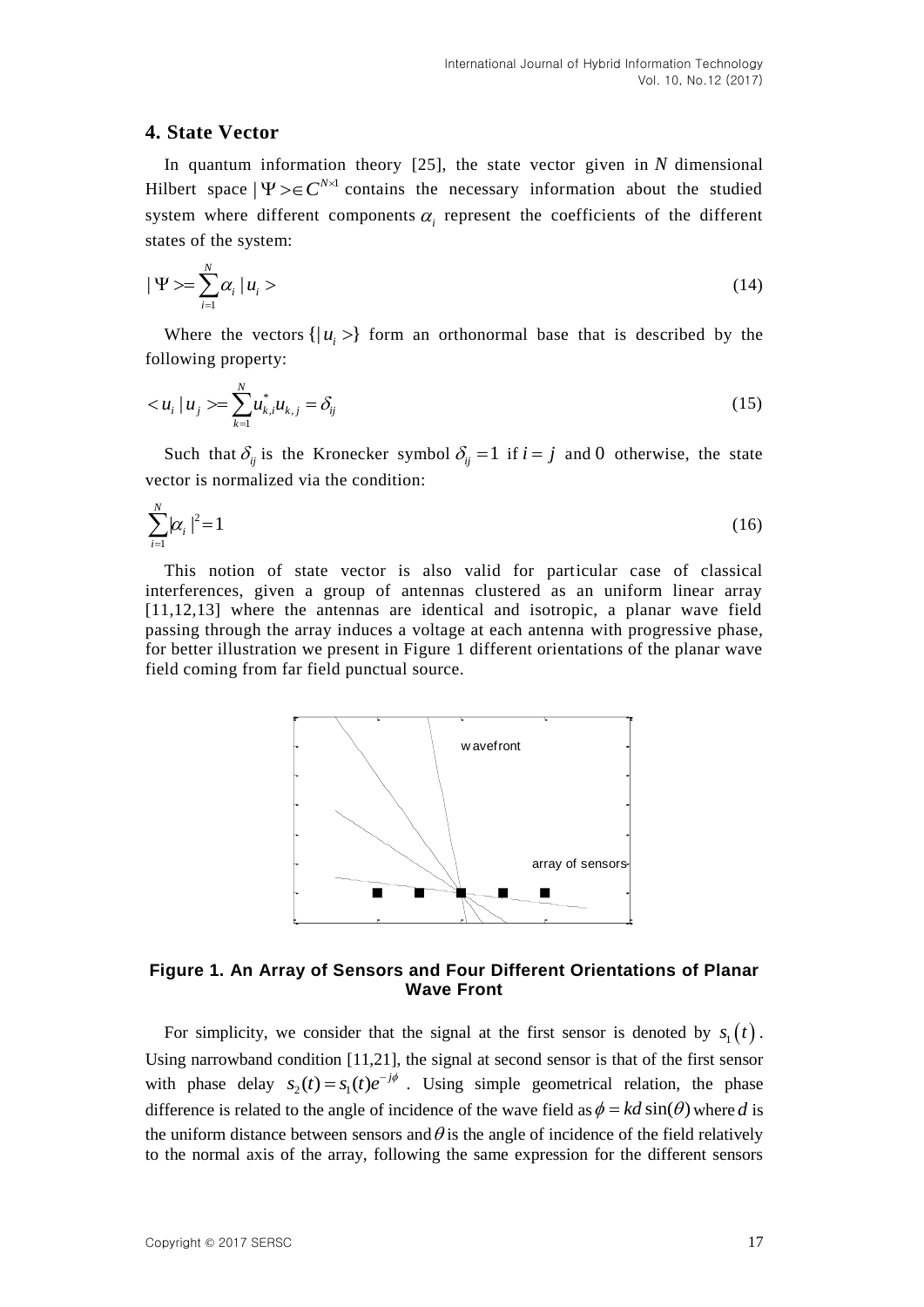### **4. State Vector**

In quantum information theory [25], the state vector given in *N* dimensional Hilbert space  $|\Psi\rangle \in C^{N \times 1}$  contains the necessary information about the studied system where different components  $\alpha$ <sub>i</sub> represent the coefficients of the different states of the system:

$$
|\Psi\rangle = \sum_{i=1}^{N} \alpha_i |u_i\rangle \tag{14}
$$

Where the vectors  $\{|u_i\rangle\}$  form an orthonormal base that is described by the following property:

$$
\langle u_i | u_j \rangle = \sum_{k=1}^{N} u_{k,i}^* u_{k,j} = \delta_{ij} \tag{15}
$$

Such that  $\delta_{ij}$  is the Kronecker symbol  $\delta_{ij} = 1$  if  $i = j$  and 0 otherwise, the state vector is normalized via the condition:

$$
\sum_{i=1}^{N} |\alpha_i|^2 = 1
$$
 (16)

This notion of state vector is also valid for particular case of classical interferences, given a group of antennas clustered as an uniform linear array [11,12,13] where the antennas are identical and isotropic, a planar wave field passing through the array induces a voltage at each antenna with progressive phase, for better illustration we present in Figure 1 different orientations of the planar wave field coming from far field punctual source.



### **Figure 1. An Array of Sensors and Four Different Orientations of Planar Wave Front**

For simplicity, we consider that the signal at the first sensor is denoted by  $s_1(t)$ . Using narrowband condition [11,21], the signal at second sensor is that of the first sensor with phase delay  $s_2(t) = s_1(t)e^{-j\phi}$ . Using simple geometrical relation, the phase difference is related to the angle of incidence of the wave field as  $\phi = kd \sin(\theta)$  where d is the uniform distance between sensors and  $\theta$  is the angle of incidence of the field relatively to the normal axis of the array, following the same expression for the different sensors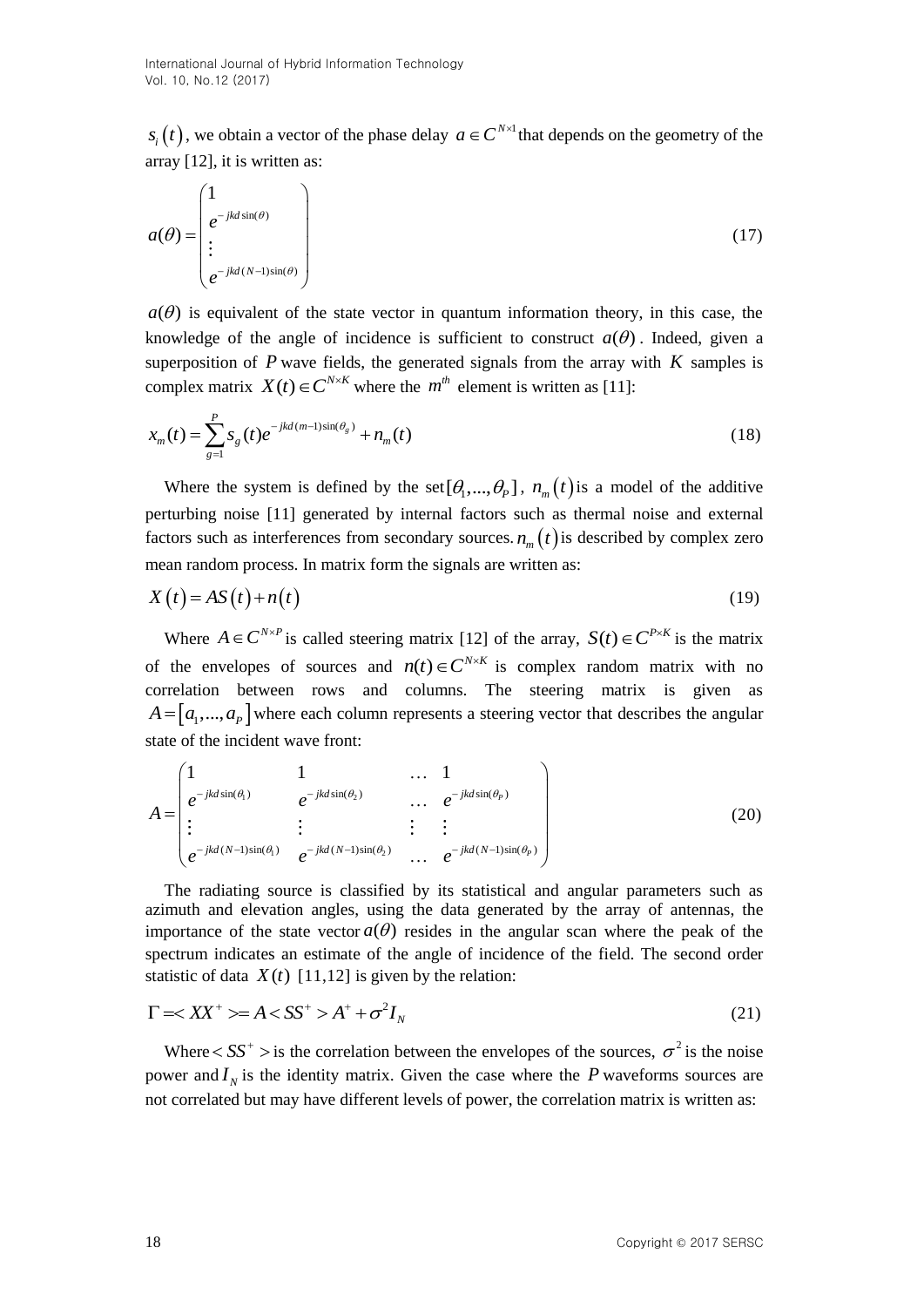, we obtain a vector of the phase delay  $a \in C^{N \times 1}$  that depends on the geometry of the array [12], it is written as:

$$
a(\theta) = \begin{pmatrix} 1 \\ e^{-jkd\sin(\theta)} \\ \vdots \\ e^{-jkd(N-1)\sin(\theta)} \end{pmatrix}
$$
 (17)

 $a(\theta)$  is equivalent of the state vector in quantum information theory, in this case, the knowledge of the angle of incidence is sufficient to construct  $a(\theta)$ . Indeed, given a superposition of  $P$  wave fields, the generated signals from the array with  $K$  samples is complex matrix  $X(t) \in C^{N \times K}$  where the  $m^{th}$  element is written as [11]:

$$
x_m(t) = \sum_{g=1}^{P} s_g(t)e^{-jkd(m-1)\sin(\theta_g)} + n_m(t)
$$
\n(18)

Where the system is defined by the set  $[\theta_1, ..., \theta_p]$ ,  $n_m(t)$  is a model of the additive perturbing noise [11] generated by internal factors such as thermal noise and external factors such as interferences from secondary sources.  $n_m(t)$  is described by complex zero mean random process. In matrix form the signals are written as:

$$
X(t) = AS(t) + n(t)
$$
\n(19)

5(*t*), we obtain a vector of the phase delay *o*  $e^{-C\omega t}$  that depends on the geometry of the<br>
urrey [12], it is written as:<br>  $d(\theta)$  is equivalent of the state vector in quantum information theory, in this case, the<br> Where  $A \in C^{N \times P}$  is called steering matrix [12] of the array,  $S(t) \in C^{P \times K}$  is the matrix of the envelopes of sources and  $n(t) \in C^{N \times K}$  is complex random matrix with no correlation between rows and columns. The steering matrix is given as  $A = [a_1, ..., a_p]$  where each column represents a steering vector that describes the angular state of the incident wave front:

$$
A = \begin{pmatrix} 1 & 1 & \dots & 1 \\ e^{-jkd\sin(\theta_1)} & e^{-jkd\sin(\theta_2)} & \dots & e^{-jkd\sin(\theta_p)} \\ \vdots & \vdots & \vdots & \vdots & \vdots \\ e^{-jkd(N-1)\sin(\theta_1)} & e^{-jkd(N-1)\sin(\theta_2)} & \dots & e^{-jkd(N-1)\sin(\theta_p)} \end{pmatrix}
$$
(20)

The radiating source is classified by its statistical and angular parameters such as azimuth and elevation angles, using the data generated by the array of antennas, the importance of the state vector  $a(\theta)$  resides in the angular scan where the peak of the spectrum indicates an estimate of the angle of incidence of the field. The second order statistic of data  $X(t)$  [11,12] is given by the relation:

$$
\Gamma = \langle XX^+ \rangle = A \langle SS^+ \rangle A^+ + \sigma^2 I_N \tag{21}
$$

Where  $\langle SS^+ \rangle$  is the correlation between the envelopes of the sources,  $\sigma^2$  is the noise power and  $I_N$  is the identity matrix. Given the case where the P waveforms sources are not correlated but may have different levels of power, the correlation matrix is written as: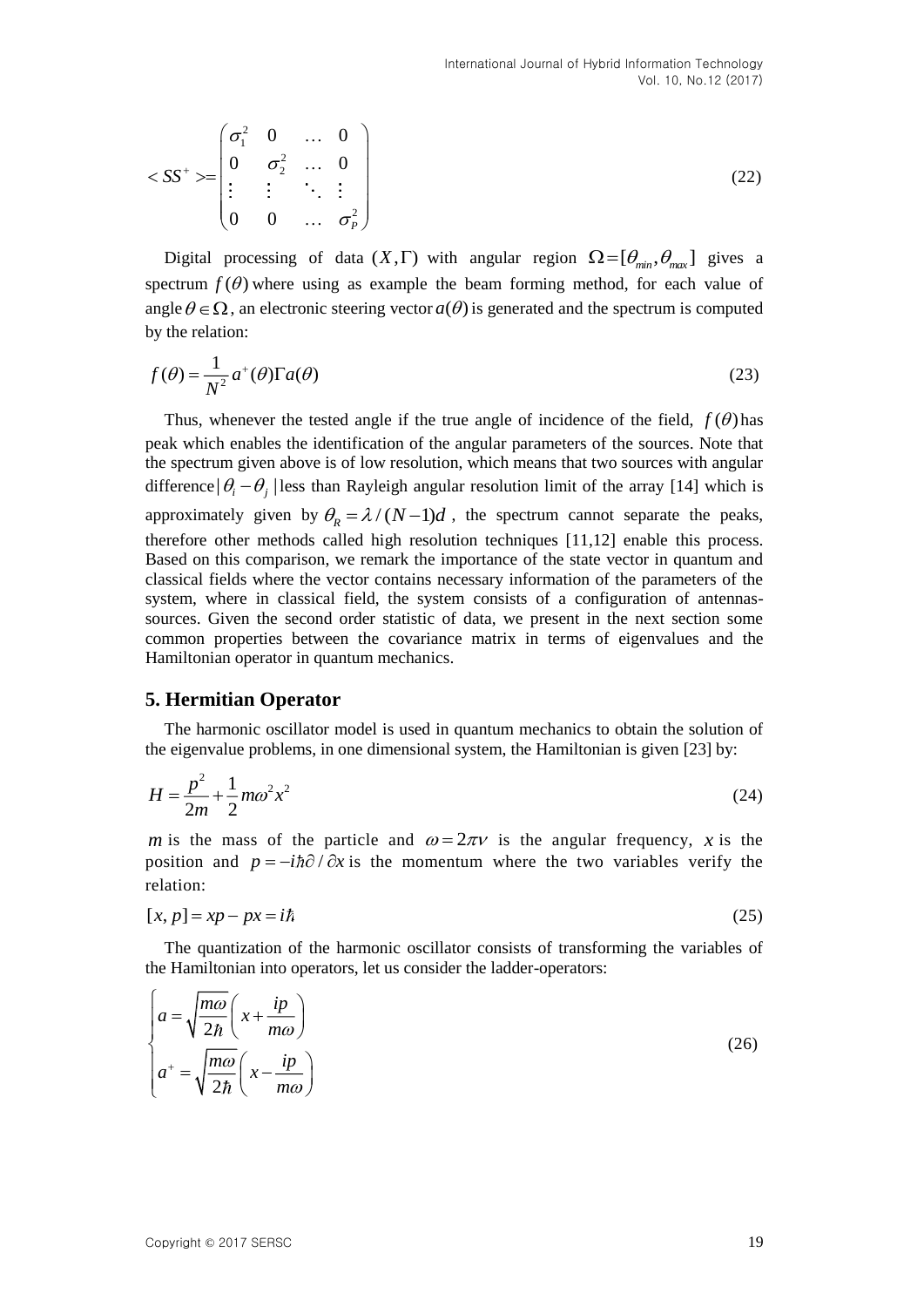$$
\langle S S^+ \rangle = \begin{pmatrix} \sigma_1^2 & 0 & \dots & 0 \\ 0 & \sigma_2^2 & \dots & 0 \\ \vdots & \vdots & \ddots & \vdots \\ 0 & 0 & \dots & \sigma_p^2 \end{pmatrix}
$$
 (22)

Digital processing of data  $(X, \Gamma)$  with angular region  $\Omega = [\theta_{min}, \theta_{max}]$  gives a spectrum  $f(\theta)$  where using as example the beam forming method, for each value of angle  $\theta \in \Omega$ , an electronic steering vector  $a(\theta)$  is generated and the spectrum is computed by the relation:

$$
f(\theta) = \frac{1}{N^2} a^+(\theta) \Gamma a(\theta)
$$
 (23)

Thus, whenever the tested angle if the true angle of incidence of the field,  $f(\theta)$  has peak which enables the identification of the angular parameters of the sources. Note that the spectrum given above is of low resolution, which means that two sources with angular difference  $|\theta_i - \theta_j|$  less than Rayleigh angular resolution limit of the array [14] which is approximately given by  $\theta_R = \lambda / (N-1)d$ , the spectrum cannot separate the peaks, therefore other methods called high resolution techniques [11,12] enable this process. Based on this comparison, we remark the importance of the state vector in quantum and classical fields where the vector contains necessary information of the parameters of the system, where in classical field, the system consists of a configuration of antennassources. Given the second order statistic of data, we present in the next section some common properties between the covariance matrix in terms of eigenvalues and the Hamiltonian operator in quantum mechanics.

#### **5. Hermitian Operator**

The harmonic oscillator model is used in quantum mechanics to obtain the solution of the eigenvalue problems, in one dimensional system, the Hamiltonian is given [23] by:

$$
H = \frac{p^2}{2m} + \frac{1}{2}m\omega^2 x^2
$$
 (24)

*m* is the mass of the particle and  $\omega = 2\pi v$  is the angular frequency, *x* is the position and  $p = -i\hbar \partial / \partial x$  is the momentum where the two variables verify the relation:

$$
[x, p] = xp - px = i\hbar
$$
\n<sup>(25)</sup>

The quantization of the harmonic oscillator consists of transforming the variables of the Hamiltonian into operators, let us consider the ladder-operators:

$$
\begin{cases}\n a = \sqrt{\frac{m\omega}{2\hbar}} \left( x + \frac{ip}{m\omega} \right) \\
 a^+ = \sqrt{\frac{m\omega}{2\hbar}} \left( x - \frac{ip}{m\omega} \right)\n\end{cases} (26)
$$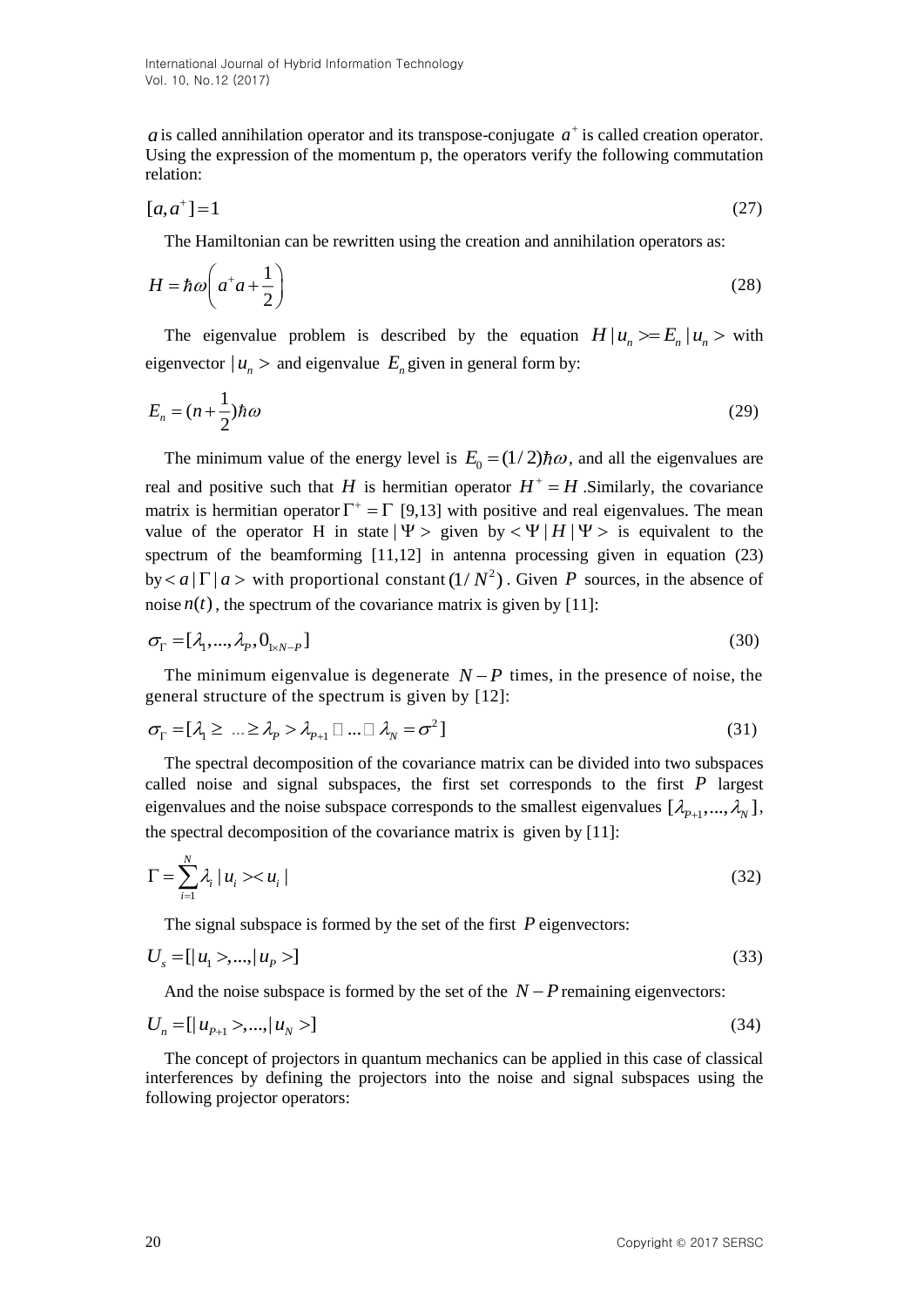International Journal of Hybrid Information Technology Vol. 10, No.12 (2017)

is called annihilation operator and its transpose-conjugate  $a^+$  is called creation operator. Using the expression of the momentum p, the operators verify the following commutation relation:

$$
[a, a+] = 1 \tag{27}
$$

The Hamiltonian can be rewritten using the creation and annihilation operators as:

$$
H = \hbar \omega \left( a^+ a + \frac{1}{2} \right) \tag{28}
$$

The eigenvalue problem is described by the equation  $H | u_n \rangle = E_n | u_n \rangle$  with eigenvector  $|u_n\rangle$  and eigenvalue  $E_n$  given in general form by:

$$
E_n = (n + \frac{1}{2})\hbar\omega
$$
\n(29)

*Ets* called manimalino forcation and its massposs-conjugate at leasting characteristics of the signal control and the signal characteristics  $H = \hbar \omega_0 t^2$  (13)<br>
The eigenvalue problem is described by the equation of Fig The minimum value of the energy level is  $E_0 = (1/2) \hbar \omega$ , and all the eigenvalues are real and positive such that *H* is hermitian operator  $H^+ = H$ . Similarly, the covariance matrix is hermitian operator  $\Gamma^+ = \Gamma$  [9,13] with positive and real eigenvalues. The mean value of the operator H in state  $|\Psi\rangle$  given by  $\langle \Psi | H | \Psi \rangle$  is equivalent to the spectrum of the beamforming [11,12] in antenna processing given in equation (23) by  $\lt a | \Gamma | a$  > with proportional constant  $(1/N^2)$ . Given P sources, in the absence of noise  $n(t)$ , the spectrum of the covariance matrix is given by [11]:

$$
\sigma_{\Gamma} = [\lambda_1, \dots, \lambda_p, 0_{1 \times N - P}] \tag{30}
$$

The minimum eigenvalue is degenerate  $N-P$  times, in the presence of noise, the general structure of the spectrum is given by [12]:

$$
\sigma_{\Gamma} = [\lambda_1 \geq \ldots \geq \lambda_p > \lambda_{p+1} \sqcup \ldots \sqcup \lambda_N = \sigma^2]
$$
\n(31)

The spectral decomposition of the covariance matrix can be divided into two subspaces called noise and signal subspaces, the first set corresponds to the first  $P$  largest eigenvalues and the noise subspace corresponds to the smallest eigenvalues  $[\lambda_{p+1},...,\lambda_N]$ , the spectral decomposition of the covariance matrix is given by [11]:

$$
\Gamma = \sum_{i=1}^{N} \lambda_i \left| u_i \right| < u_i \tag{32}
$$

The signal subspace is formed by the set of the first P eigenvectors:

$$
U_s = [ |u_1 \rangle, ..., |u_p \rangle ] \tag{33}
$$

And the noise subspace is formed by the set of the  $N-P$  remaining eigenvectors:

$$
U_n = [ |u_{p+1} \rangle, ..., |u_N \rangle ] \tag{34}
$$

The concept of projectors in quantum mechanics can be applied in this case of classical interferences by defining the projectors into the noise and signal subspaces using the following projector operators: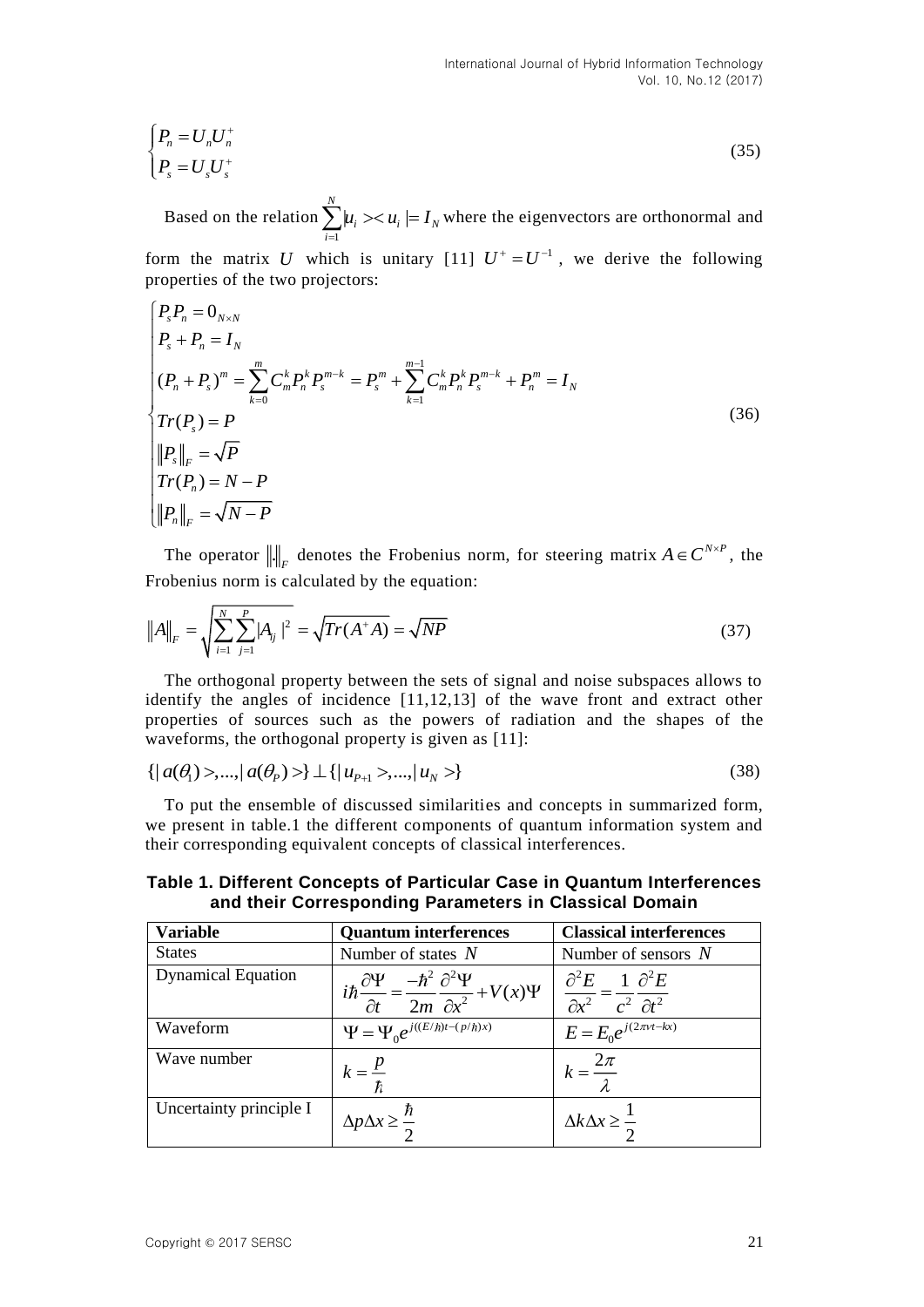$$
\begin{cases}\nP_n = U_n U_n^+ \\
P_s = U_s U_s^+\n\end{cases} \tag{35}
$$

$$
\begin{cases}\nP_s P_n = 0_{N \times N} \\
P_s + P_n = I_N \\
(P_n + P_s)^m = \sum_{k=0}^m C_m^k P_n^k P_s^{m-k} = P_s^m + \sum_{k=1}^{m-1} C_m^k P_n^k P_s^{m-k} + P_n^m = I_N \\
Tr(P_s) = P \\
\|P_s\|_F = \sqrt{P} \\
Tr(P_n) = N - P \\
\|P_n\|_F = \sqrt{N - P}\n\end{cases} \tag{36}
$$

$$
||A||_F = \sqrt{\sum_{i=1}^{N} \sum_{j=1}^{P} |A_{ij}|^2} = \sqrt{Tr(A^*A)} = \sqrt{NP}
$$
\n(37)

$$
\{|a(\theta_1)>,...,|a(\theta_p)>\}\perp\{|u_{p+1}>,...,|u_N>\}\tag{38}
$$

**Table 1. Different Concepts of Particular Case in Quantum Interferences and their Corresponding Parameters in Classical Domain**

| $\begin{cases} \begin{array}{c} n \\ P_{\rm s} = U_{\rm s} U_{\rm s} \end{array} \end{cases}$ |                                                                                                                                                                                                                                                                                                            | (35)                                                           |
|-----------------------------------------------------------------------------------------------|------------------------------------------------------------------------------------------------------------------------------------------------------------------------------------------------------------------------------------------------------------------------------------------------------------|----------------------------------------------------------------|
|                                                                                               | Based on the relation $\sum_{i=1}^{N}  u_i\rangle \langle u_i  = I_N$ where the eigenvectors are orthonormal and                                                                                                                                                                                           |                                                                |
| properties of the two projectors:                                                             | form the matrix U which is unitary [11] $U^+ = U^{-1}$ , we derive the following                                                                                                                                                                                                                           |                                                                |
| $P_s P_n = 0_{N \times N}$<br>$P_s + P_n = I_N$                                               |                                                                                                                                                                                                                                                                                                            |                                                                |
|                                                                                               | $\left  (P_n + P_s)^m = \sum_{k=0}^m C_m^k P_n^k P_s^{m-k} = P_s^m + \sum_{k=1}^{m-1} C_m^k P_n^k P_s^{m-k} + P_n^m = I_N \right $                                                                                                                                                                         |                                                                |
| $\overline{\int Tr(P_{s})} = P$                                                               |                                                                                                                                                                                                                                                                                                            | (36)                                                           |
| $\left\ P_s\right\ _F = \sqrt{P}$                                                             |                                                                                                                                                                                                                                                                                                            |                                                                |
| $Tr(P_n) = N - P$                                                                             |                                                                                                                                                                                                                                                                                                            |                                                                |
| $\left\ P_n\right\ _F = \sqrt{N-P}$                                                           |                                                                                                                                                                                                                                                                                                            |                                                                |
| Frobenius norm is calculated by the equation:                                                 | The operator $\ \cdot\ _F$ denotes the Frobenius norm, for steering matrix $A \in C^{N \times P}$ , the                                                                                                                                                                                                    |                                                                |
| $  A  _F = \sqrt{\sum_{i=1}^{N} \sum_{i=1}^{P}  A_{ij} ^2} = \sqrt{Tr(A^*A)} = \sqrt{NP}$     |                                                                                                                                                                                                                                                                                                            | (37)                                                           |
|                                                                                               | The orthogonal property between the sets of signal and noise subspaces allows to<br>identify the angles of incidence [11,12,13] of the wave front and extract other<br>properties of sources such as the powers of radiation and the shapes of the<br>waveforms, the orthogonal property is given as [11]: |                                                                |
| ${   a(\theta_1) >,,   a(\theta_p) > } \perp {   u_{p_{+1}} >,,   u_{N} > }$                  |                                                                                                                                                                                                                                                                                                            | (38)                                                           |
|                                                                                               | To put the ensemble of discussed similarities and concepts in summarized form,<br>we present in table.1 the different components of quantum information system and<br>their corresponding equivalent concepts of classical interferences.                                                                  |                                                                |
|                                                                                               | Table 1. Different Concepts of Particular Case in Quantum Interferences<br>and their Corresponding Parameters in Classical Domain                                                                                                                                                                          |                                                                |
| <b>Variable</b>                                                                               | <b>Quantum interferences</b>                                                                                                                                                                                                                                                                               | <b>Classical interferences</b>                                 |
| <b>States</b><br><b>Dynamical Equation</b>                                                    | Number of states $N$                                                                                                                                                                                                                                                                                       | Number of sensors $N$                                          |
|                                                                                               | $i\hbar \frac{\partial \Psi}{\partial t} = \frac{-\hbar^2}{2m} \frac{\partial^2 \Psi}{\partial x^2} + V(x)\Psi \left  \frac{\partial^2 E}{\partial x^2} = \frac{1}{c^2} \frac{\partial^2 E}{\partial t^2} \right $                                                                                         |                                                                |
| Waveform                                                                                      | $\Psi = \Psi_0 e^{j((E/\hbar)t - (p/\hbar)x)}$                                                                                                                                                                                                                                                             | $E = E_0 e^{j(2\pi vt - kx)}$                                  |
| Wave number                                                                                   |                                                                                                                                                                                                                                                                                                            |                                                                |
| Uncertainty principle I                                                                       | $k = \frac{p}{\hbar}$<br>$\Delta p \Delta x \geq \frac{\hbar}{2}$                                                                                                                                                                                                                                          | $k = \frac{2\pi}{\lambda}$ $\Delta k \Delta x \ge \frac{1}{2}$ |
| Copyright © 2017 SERSC                                                                        |                                                                                                                                                                                                                                                                                                            | 21                                                             |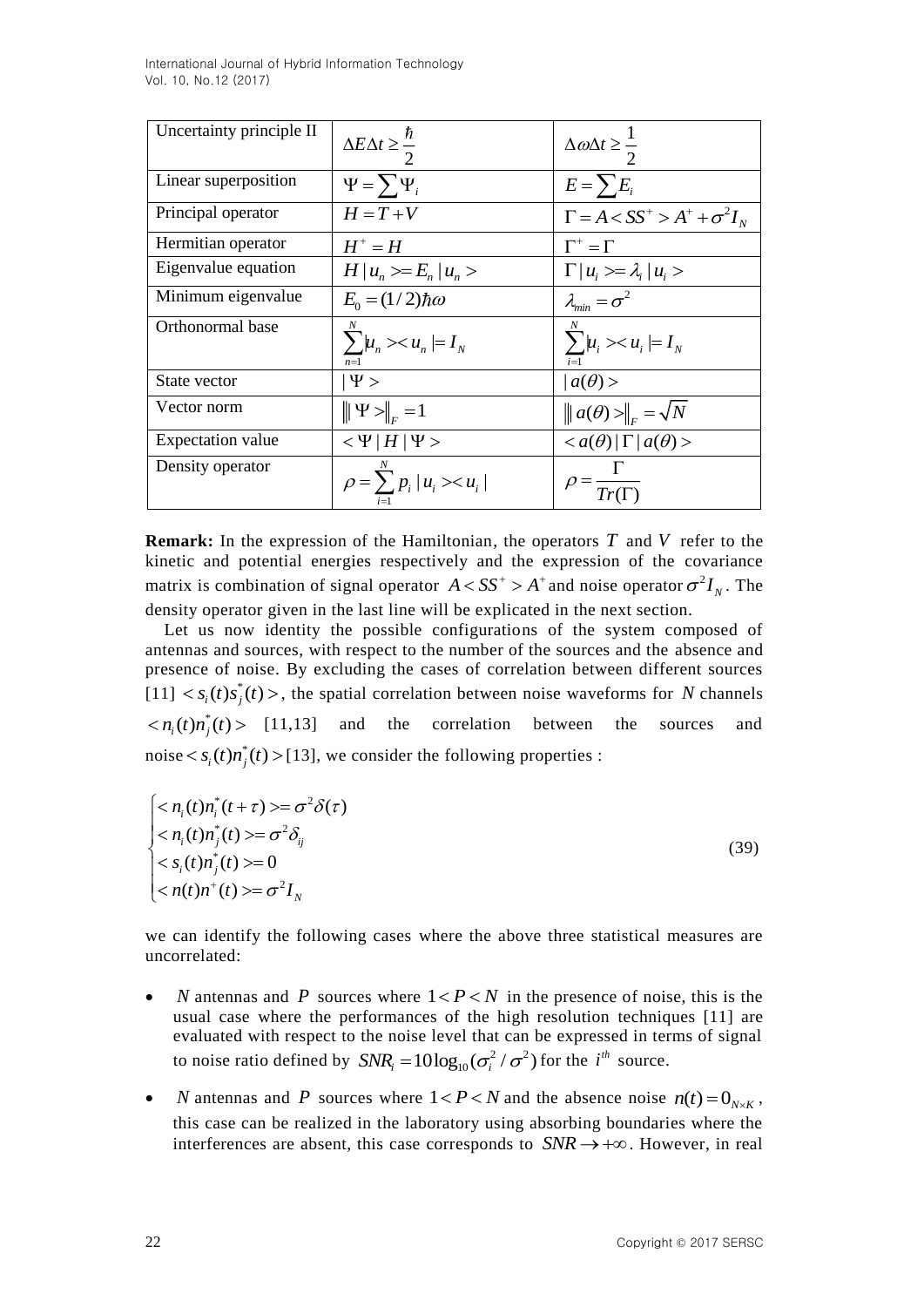International Journal of Hybrid Information Technology Vol. 10, No.12 (2017)

| Uncertainty principle II | $\Delta E \Delta t \geq \frac{\hbar}{2}$   | $\Delta \omega \Delta t \geq \frac{1}{2}$        |
|--------------------------|--------------------------------------------|--------------------------------------------------|
| Linear superposition     | $\Psi = \sum \Psi_i$                       | $E = \sum E_i$                                   |
| Principal operator       | $H = T + V$                                | $\Gamma = A < S S^+ > A^+ + \sigma^2 I_N$        |
| Hermitian operator       | $H^+ = H$                                  | $\Gamma^* = \Gamma$                              |
| Eigenvalue equation      | $H u_n\rangle = E_n u_n\rangle$            | $\Gamma   u_i \rangle = \lambda_i   u_i \rangle$ |
| Minimum eigenvalue       | $E_0 = (1/2)\hbar\omega$                   | $\lambda_{\min} = \sigma^2$                      |
| Orthonormal base         | $\sum_{n} \mu_{n} > u_{n} = I_{N}$         | $\sum_{i} \mu_{i} >< u_{i} \models I_{N}$        |
| State vector             | $ \Psi\rangle$                             | $ a(\theta)>$                                    |
| Vector norm              | $\ \Psi\ _{r}=1$                           | $\ a(\theta)>\ _{E}=\sqrt{N}$                    |
| Expectation value        | $< \Psi   H   \Psi$                        | $$                                               |
| Density operator         | $\rho = \sum p_i  u_i\rangle \langle u_i $ | $\rho = \frac{1}{Tr(\Gamma)}$                    |

**Remark:** In the expression of the Hamiltonian, the operators T and V refer to the kinetic and potential energies respectively and the expression of the covariance matrix is combination of signal operator  $A < SS^+ > A^+$  and noise operator  $\sigma^2 I_N$ . The density operator given in the last line will be explicated in the next section.

Let us now identity the possible configurations of the system composed of antennas and sources, with respect to the number of the sources and the absence and presence of noise. By excluding the cases of correlation between different sources  $[11] < s_i(t)s_j^*(t)$ , the spatial correlation between noise waveforms for N channels  $\langle n_i(t) n_j^*(t) \rangle$  [11,13] and the correlation between the sources and noise  $\langle s_i(t) n_j^*(t) \rangle$  [13], we consider the following properties :

$$
\begin{cases}\n< n_i(t)n_i^*(t+\tau) >= \sigma^2 \delta(\tau) \\
< n_i(t)n_j^*(t) >= \sigma^2 \delta_{ij} \\
< s_i(t)n_j^*(t) >= 0 \\
< n(t)n^*(t) >= \sigma^2 I_N\n\end{cases} \tag{39}
$$

we can identify the following cases where the above three statistical measures are uncorrelated:

- *N* antennas and *P* sources where  $1 < P < N$  in the presence of noise, this is the usual case where the performances of the high resolution techniques [11] are evaluated with respect to the noise level that can be expressed in terms of signal to noise ratio defined by  $SNR_i = 10 \log_{10}(\sigma_i^2 / \sigma^2)$  for the *i*<sup>th</sup> source.
- *N* antennas and *P* sources where  $1 < P < N$  and the absence noise  $n(t) = 0_{N \times K}$ , this case can be realized in the laboratory using absorbing boundaries where the interferences are absent, this case corresponds to  $SNR \rightarrow +\infty$ . However, in real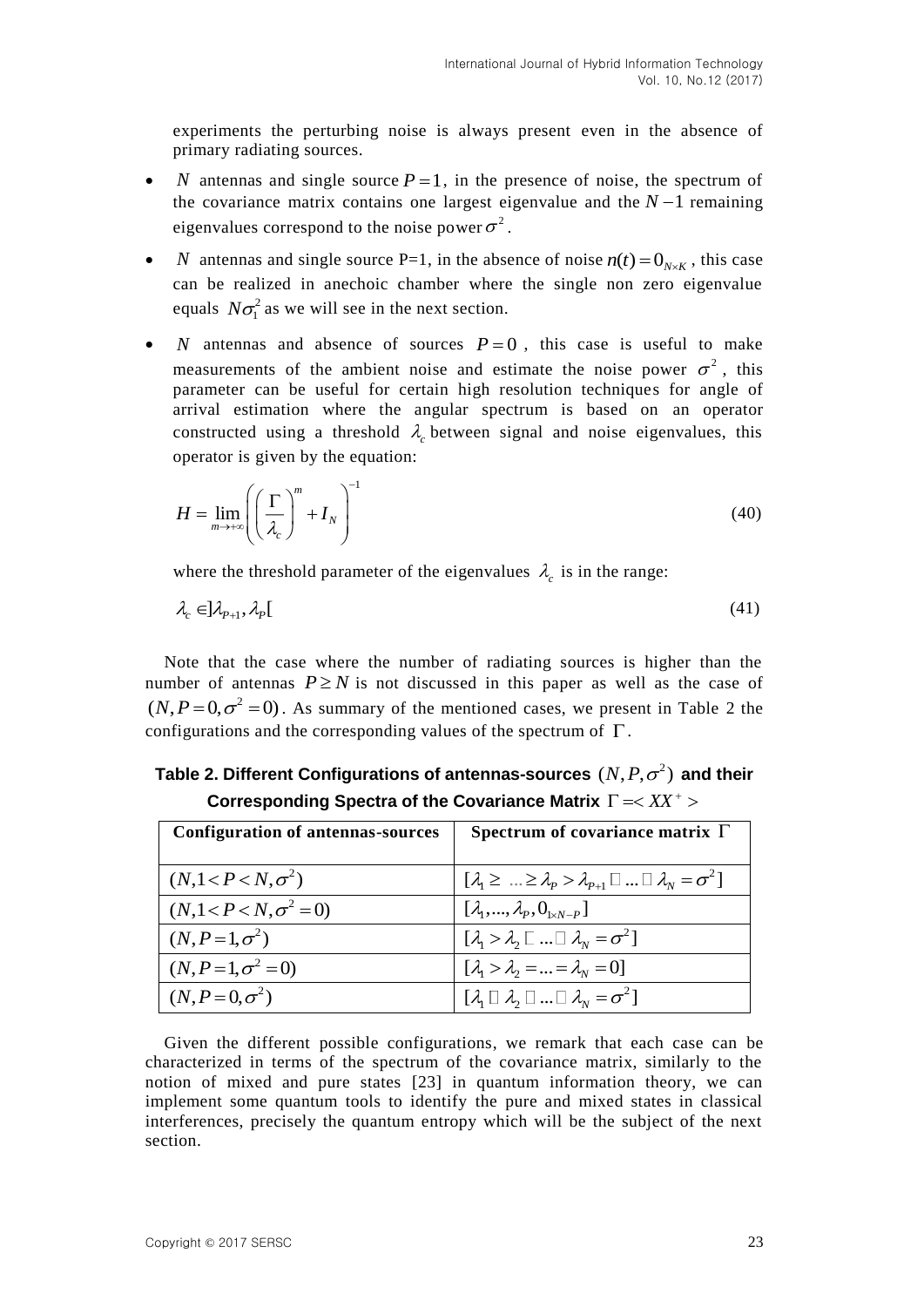experiments the perturbing noise is always present even in the absence of primary radiating sources.

- *N* antennas and single source  $P = 1$ , in the presence of noise, the spectrum of the covariance matrix contains one largest eigenvalue and the  $N-1$  remaining eigenvalues correspond to the noise power  $\sigma^2$ .
- *N* antennas and single source P=1, in the absence of noise  $n(t) = 0_{N \times K}$ , this case can be realized in anechoic chamber where the single non zero eigenvalue equals  $N\sigma_1^2$  as we will see in the next section.
- *N* antennas and absence of sources  $P=0$ , this case is useful to make measurements of the ambient noise and estimate the noise power  $\sigma^2$ , this parameter can be useful for certain high resolution techniques for angle of arrival estimation where the angular spectrum is based on an operator constructed using a threshold  $\lambda_c$  between signal and noise eigenvalues, this operator is given by the equation:

$$
H = \lim_{m \to +\infty} \left( \left( \frac{\Gamma}{\lambda_c} \right)^m + I_N \right)^{-1} \tag{40}
$$

where the threshold parameter of the eigenvalues  $\lambda_c$  is in the range:

$$
\lambda_c \in ]\lambda_{p+1}, \lambda_p[ \tag{41}
$$

Note that the case where the number of radiating sources is higher than the number of antennas  $P \geq N$  is not discussed in this paper as well as the case of  $(N, P=0, \sigma^2=0)$ . As summary of the mentioned cases, we present in Table 2 the configurations and the corresponding values of the spectrum of  $\Gamma$ .

Table 2. Different Configurations of antennas-sources  $(N, P, \sigma^2)$  and their Corresponding Spectra of the Covariance Matrix  $\Gamma = <\!\!XX^+>$ 

| <b>Configuration of antennas-sources</b> | Spectrum of covariance matrix $\Gamma$                                                   |
|------------------------------------------|------------------------------------------------------------------------------------------|
| $(N, 1 < P < N, \sigma^2)$               | $[\lambda_1 \geq  \geq \lambda_p > \lambda_{p+1} \square  \square \lambda_N = \sigma^2]$ |
| $(N, 1 < P < N, \sigma^2 = 0)$           | $[\lambda_1, , \lambda_p, 0_{1 \times N-p}]$                                             |
| $(N, P=1, \sigma^2)$                     | $[\lambda_1 > \lambda_2 \square  \square \lambda_N = \sigma^2]$                          |
| $(N, P=1, \sigma^2=0)$                   | $[\lambda_1 > \lambda_2 =  = \lambda_N = 0]$                                             |
| $(N, P=0, \sigma^2)$                     | $[\lambda_1 \square \lambda_2 \square  \square \lambda_N = \sigma^2]$                    |

Given the different possible configurations, we remark that each case can be characterized in terms of the spectrum of the covariance matrix, similarly to the notion of mixed and pure states [23] in quantum information theory, we can implement some quantum tools to identify the pure and mixed states in classical interferences, precisely the quantum entropy which will be the subject of the next section.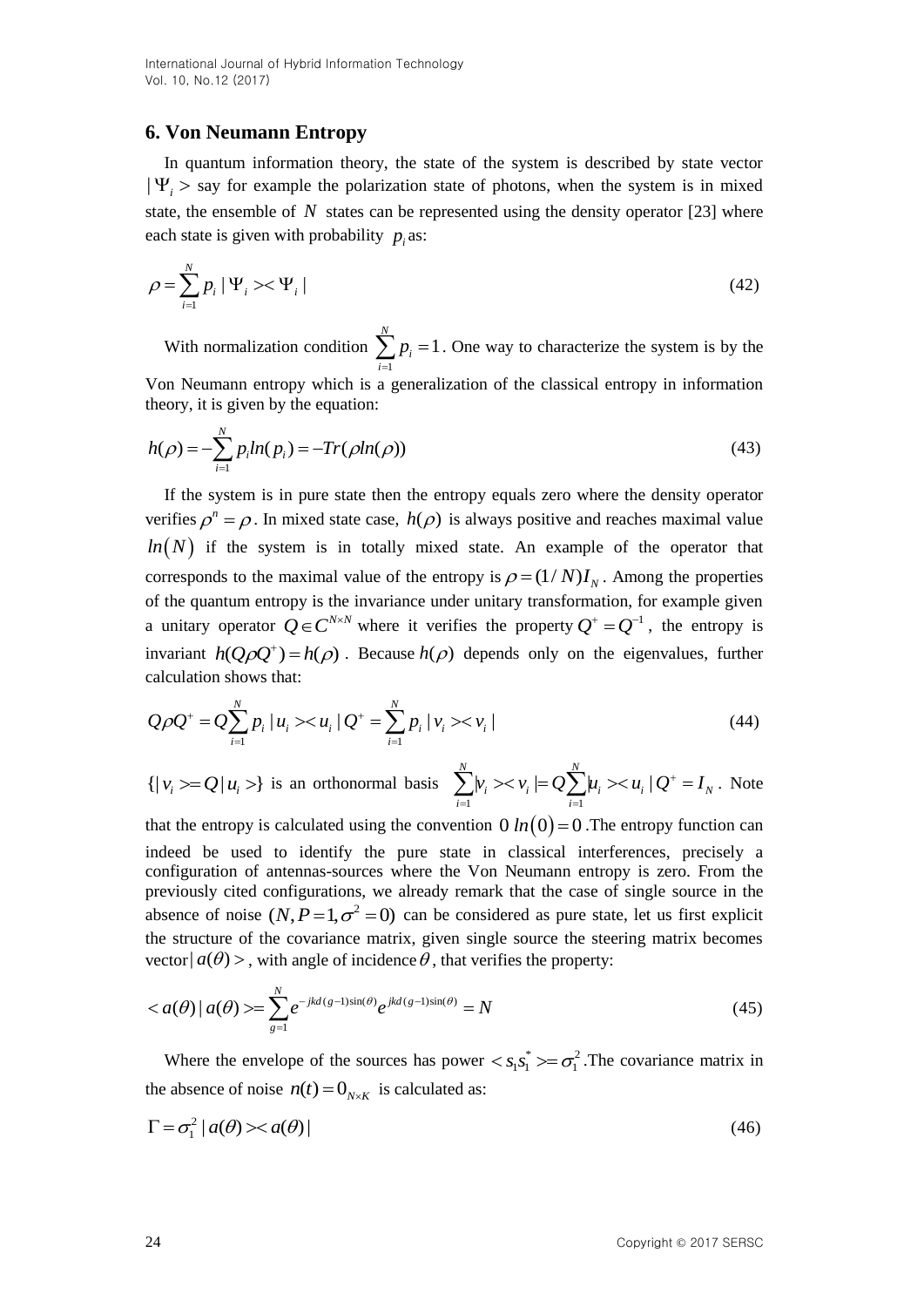## **6. Von Neumann Entropy**

In quantum information theory, the state of the system is described by state vector  $|\Psi_i\rangle$  say for example the polarization state of photons, when the system is in mixed state, the ensemble of  $N$  states can be represented using the density operator [23] where each state is given with probability  $p_i$  as:

$$
\rho = \sum_{i=1}^{N} p_i \left| \Psi_i \right| \times \Psi_i \left| \right| \tag{42}
$$

With normalization condition 1 1 *N*  $\sum p_i = 1$ . One way to characterize the system is by the *i*

Von Neumann entropy which is a generalization of the classical entropy in information theory, it is given by the equation:

$$
h(\rho) = -\sum_{i=1}^{N} p_i ln(p_i) = -Tr(\rho ln(\rho))
$$
\n(43)

If the system is in pure state then the entropy equals zero where the density operator verifies  $\rho^n = \rho$ . In mixed state case,  $h(\rho)$  is always positive and reaches maximal value  $ln(N)$  if the system is in totally mixed state. An example of the operator that corresponds to the maximal value of the entropy is  $\rho = (1/N)I_N$ . Among the properties of the quantum entropy is the invariance under unitary transformation, for example given a unitary operator  $Q \in C^{N \times N}$  where it verifies the property  $Q^+ = Q^{-1}$ , the entropy is invariant  $h(Q \rho Q^+) = h(\rho)$ . Because  $h(\rho)$  depends only on the eigenvalues, further calculation shows that:

$$
Q\rho Q^+ = Q \sum_{i=1}^N p_i \mid u_i \gg u_i \mid Q^+ = \sum_{i=1}^N p_i \mid v_i \gg v_i \mid
$$
\n(44)

$$
\{ |v_i\rangle = Q |u_i\rangle \} \text{ is an orthonormal basis } \sum_{i=1}^N |v_i\rangle \langle v_i| = Q \sum_{i=1}^N u_i \rangle \langle u_i | Q^+ = I_N. \text{ Note}
$$

that the entropy is calculated using the convention  $0 \ln(0) = 0$ . The entropy function can indeed be used to identify the pure state in classical interferences, precisely a configuration of antennas-sources where the Von Neumann entropy is zero. From the previously cited configurations, we already remark that the case of single source in the absence of noise  $(N, P=1, \sigma^2=0)$  can be considered as pure state, let us first explicit the structure of the covariance matrix, given single source the steering matrix becomes vector  $|a(\theta) \rangle$ , with angle of incidence  $\theta$ , that verifies the property:

$$
\langle a(\theta) | a(\theta) \rangle = \sum_{g=1}^{N} e^{-jkd(g-1)\sin(\theta)} e^{jkd(g-1)\sin(\theta)} = N \tag{45}
$$

Where the envelope of the sources has power  $\langle s_1 s_1^* \rangle = \sigma_1^2$  $\langle s_1 s_1^* \rangle = \sigma_1^2$ . The covariance matrix in the absence of noise  $n(t) = 0_{N \times K}$  is calculated as:

$$
\Gamma = \sigma_1^2 |a(\theta) \times a(\theta)| \tag{46}
$$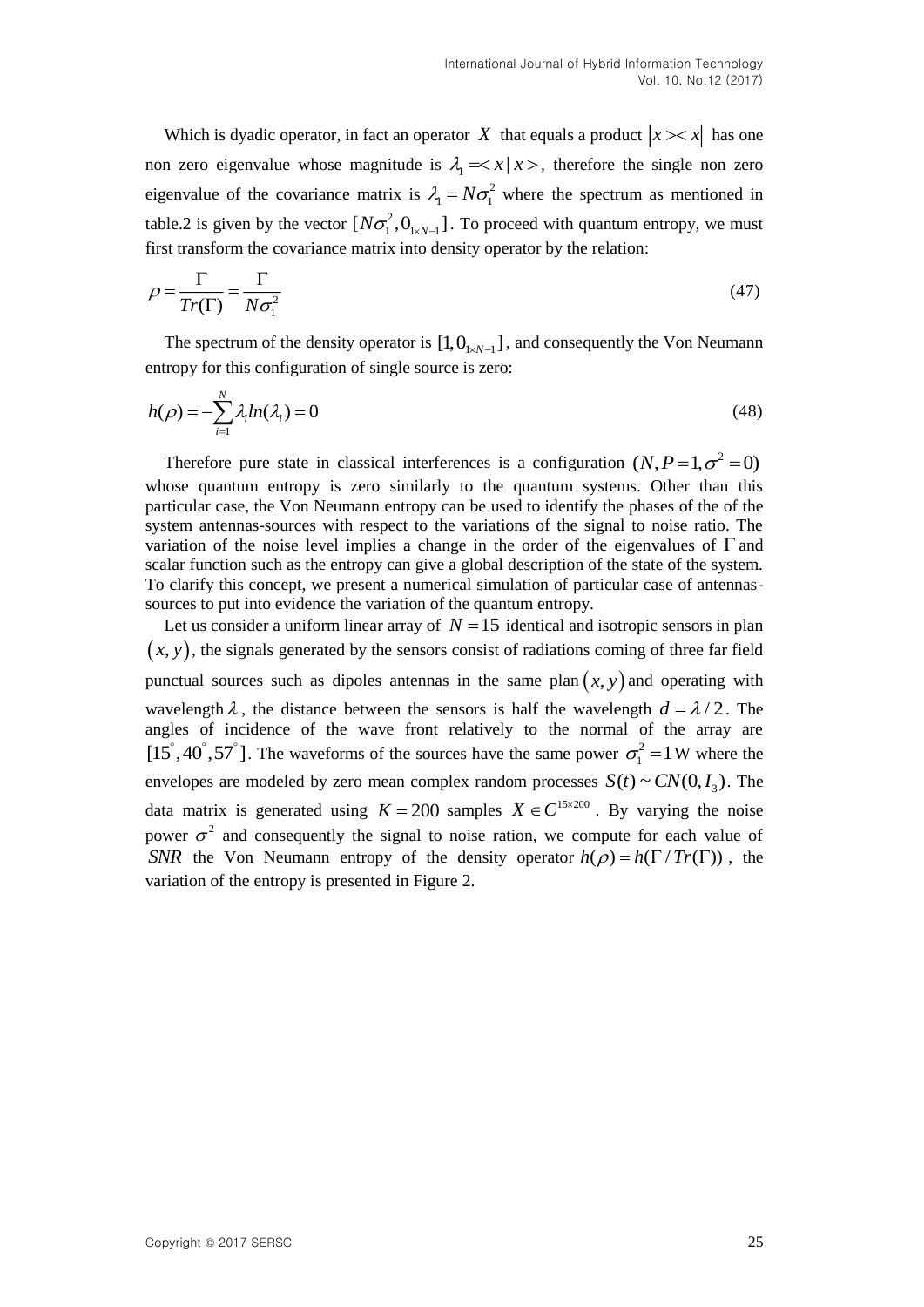Which is dyadic operator, in fact an operator X that equals a product  $|x\rangle \langle x|$  has one non zero eigenvalue whose magnitude is  $\lambda_1 = x | x >$ , therefore the single non zero eigenvalue of the covariance matrix is  $\lambda_1 = N \sigma_1^2$  where the spectrum as mentioned in table.2 is given by the vector  $[N\sigma_1^2, 0_{N-1}]$ . To proceed with quantum entropy, we must first transform the covariance matrix into density operator by the relation:

$$
\rho = \frac{\Gamma}{Tr(\Gamma)} = \frac{\Gamma}{N\sigma_1^2} \tag{47}
$$

The spectrum of the density operator is  $[1, 0_{1 \times N-1}]$ , and consequently the Von Neumann entropy for this configuration of single source is zero:

$$
h(\rho) = -\sum_{i=1}^{N} \lambda_i ln(\lambda_i) = 0
$$
\n(48)

Therefore pure state in classical interferences is a configuration  $(N, P=1, \sigma^2=0)$ whose quantum entropy is zero similarly to the quantum systems. Other than this particular case, the Von Neumann entropy can be used to identify the phases of the of the system antennas-sources with respect to the variations of the signal to noise ratio. The variation of the noise level implies a change in the order of the eigenvalues of  $\Gamma$  and scalar function such as the entropy can give a global description of the state of the system. To clarify this concept, we present a numerical simulation of particular case of antennassources to put into evidence the variation of the quantum entropy.

Let us consider a uniform linear array of  $N = 15$  identical and isotropic sensors in plan  $(x, y)$ , the signals generated by the sensors consist of radiations coming of three far field punctual sources such as dipoles antennas in the same plan  $(x, y)$  and operating with wavelength  $\lambda$ , the distance between the sensors is half the wavelength  $d = \lambda/2$ . The angles of incidence of the wave front relatively to the normal of the array are  $[15\degree, 40\degree, 57\degree]$ . The waveforms of the sources have the same power  $\sigma_1^2 = 1$  W where the envelopes are modeled by zero mean complex random processes  $S(t) \sim CN(0, I_3)$ . The data matrix is generated using  $K = 200$  samples  $X \in C^{15 \times 200}$ . By varying the noise power  $\sigma^2$  and consequently the signal to noise ration, we compute for each value of *SNR* the Von Neumann entropy of the density operator  $h(\rho) = h(\Gamma / Tr(\Gamma))$ , the variation of the entropy is presented in Figure 2.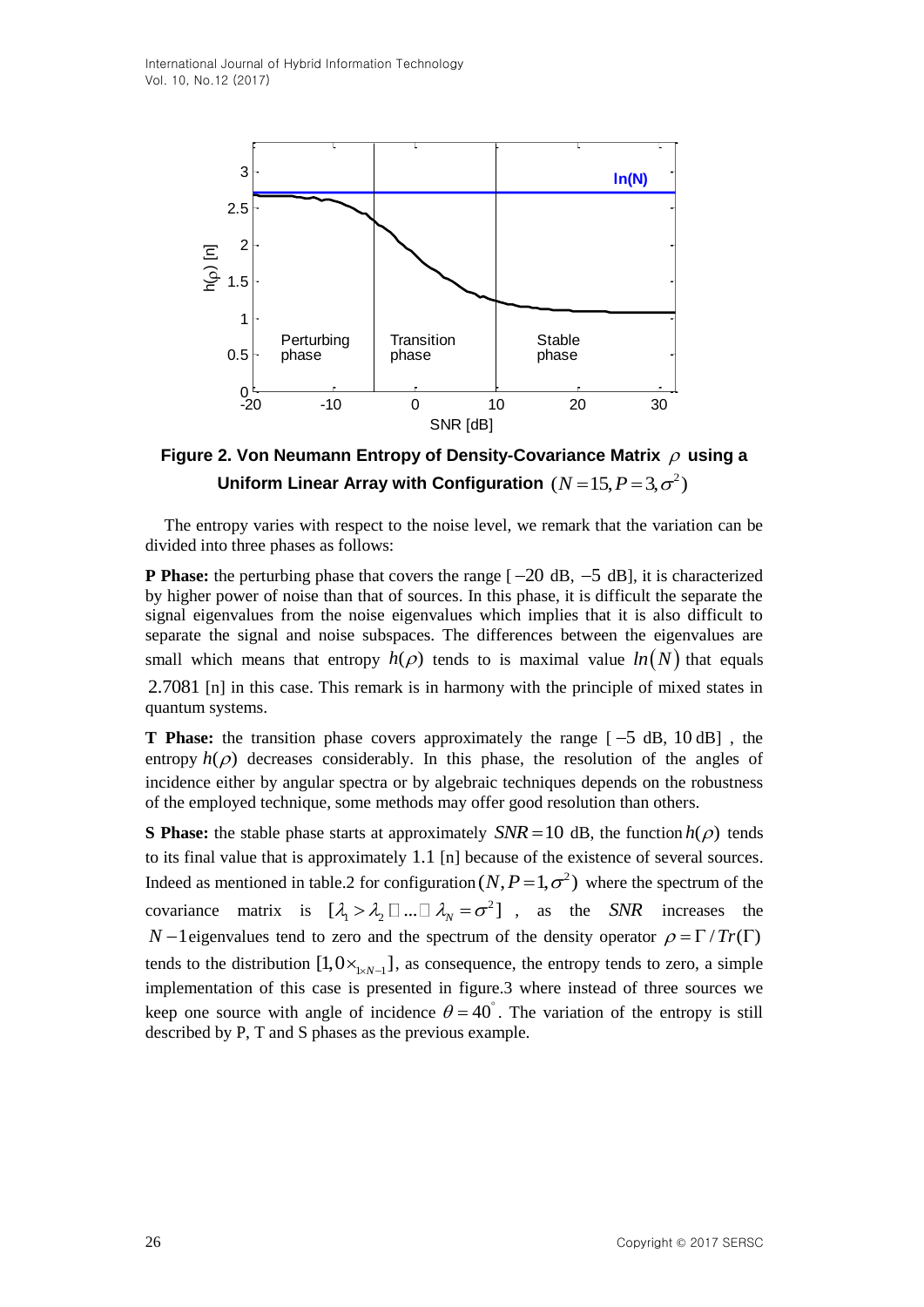

Figure 2. Von Neumann Entropy of Density-Covariance Matrix  $\rho$  using a Uniform Linear Array with Configuration  $(N\!=\!15, P\!=\!3, \sigma^2)$ 

The entropy varies with respect to the noise level, we remark that the variation can be divided into three phases as follows:

**P Phase:** the perturbing phase that covers the range  $[-20 \text{ dB}, -5 \text{ dB}]$ , it is characterized by higher power of noise than that of sources. In this phase, it is difficult the separate the signal eigenvalues from the noise eigenvalues which implies that it is also difficult to separate the signal and noise subspaces. The differences between the eigenvalues are small which means that entropy  $h(\rho)$  tends to is maximal value  $ln(N)$  that equals 2.7081 [n] in this case. This remark is in harmony with the principle of mixed states in quantum systems.

**T** Phase: the transition phase covers approximately the range  $[-5 \text{ dB}, 10 \text{ dB}]$ , the entropy  $h(\rho)$  decreases considerably. In this phase, the resolution of the angles of incidence either by angular spectra or by algebraic techniques depends on the robustness of the employed technique, some methods may offer good resolution than others.

**S Phase:** the stable phase starts at approximately  $SNR = 10$  dB, the function  $h(\rho)$  tends to its final value that is approximately 1.1 [n] because of the existence of several sources. Indeed as mentioned in table.2 for configuration  $(N, P=1, \sigma^2)$  where the spectrum of the covariance matrix is  $[\lambda_1 > \lambda_2 \ \Box \ ... \ \Box \ \lambda_N = \sigma^2]$ , as the *SNR* increases the *N* -1 eigenvalues tend to zero and the spectrum of the density operator  $\rho = \Gamma / Tr(\Gamma)$ tends to the distribution  $[1,0\times_{xN-1}]$ , as consequence, the entropy tends to zero, a simple implementation of this case is presented in figure.3 where instead of three sources we keep one source with angle of incidence  $\theta = 40^{\circ}$ . The variation of the entropy is still described by P, T and S phases as the previous example.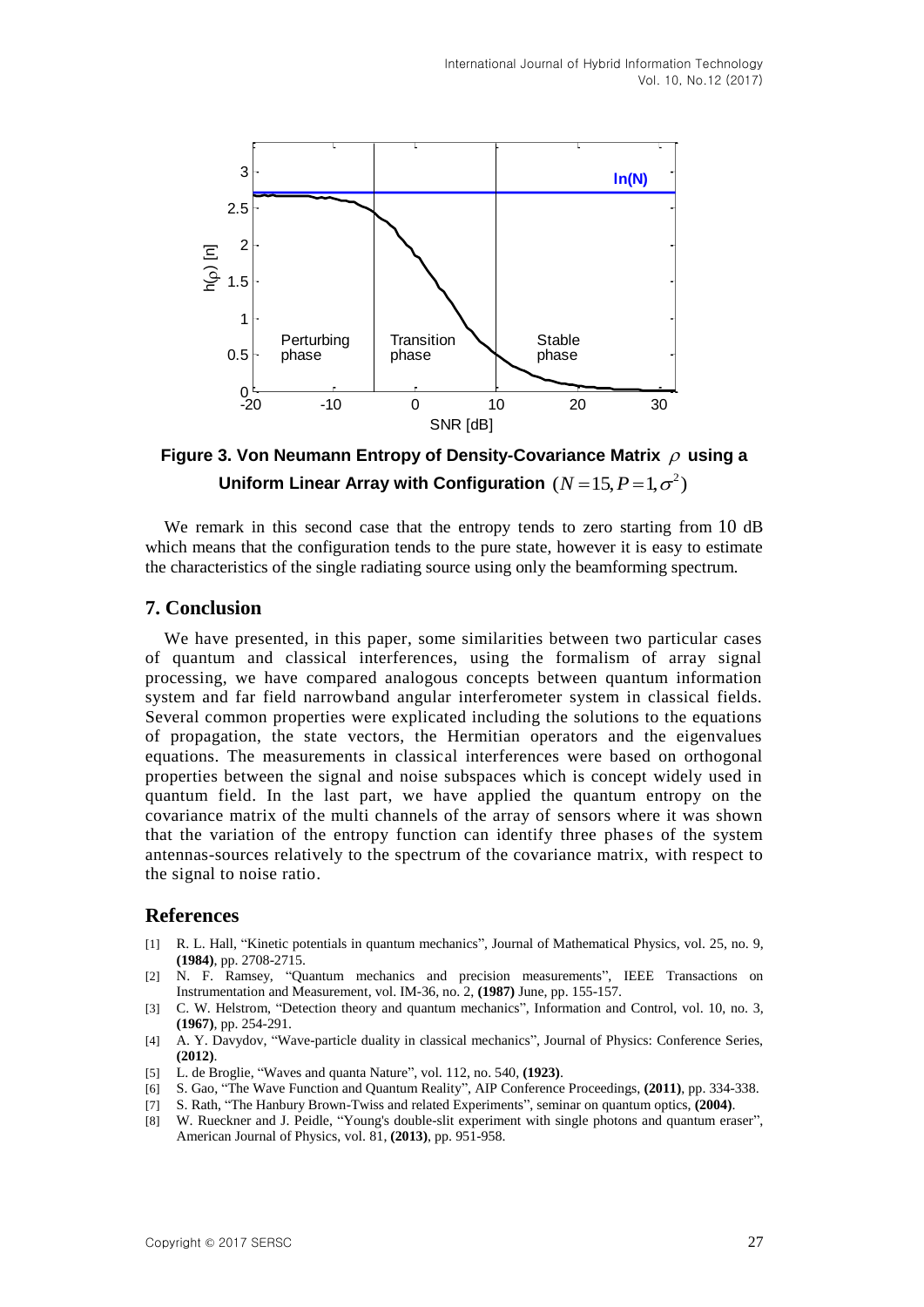

Figure 3. Von Neumann Entropy of Density-Covariance Matrix  $\rho$  using a Uniform Linear Array with Configuration  $(N = 15, P = 1, \sigma^2)$ 

We remark in this second case that the entropy tends to zero starting from 10 dB which means that the configuration tends to the pure state, however it is easy to estimate the characteristics of the single radiating source using only the beamforming spectrum.

### **7. Conclusion**

We have presented, in this paper, some similarities between two particular cases of quantum and classical interferences, using the formalism of array signal processing, we have compared analogous concepts between quantum information system and far field narrowband angular interferometer system in classical fields. Several common properties were explicated including the solutions to the equations of propagation, the state vectors, the Hermitian operators and the eigenvalues equations. The measurements in classical interferences were based on orthogonal properties between the signal and noise subspaces which is concept widely used in quantum field. In the last part, we have applied the quantum entropy on the covariance matrix of the multi channels of the array of sensors where it was shown that the variation of the entropy function can identify three phases of the system antennas-sources relatively to the spectrum of the covariance matrix, with respect to the signal to noise ratio.

#### **References**

- [1] R. L. Hall, ["Kinetic potentials in quantum mechanics"](http://aip.scitation.org/doi/abs/10.1063/1.526504), Journal of Mathematical Physics, vol. 25, no. 9, **(1984)**, pp. 2708-2715.
- [2] N. F. Ramsey, "Quantum mechanics and precision measurements", IEEE Transactions on Instrumentation and Measurement, vol. IM-36, no. 2, **(1987)** June, pp. 155-157.
- [3] C. W. Helstrom, "Detection theory and quantum mechanics", Information and Control, vol. 10, no. 3, **(1967)**, pp. 254-291.
- [4] A. Y. Davydov, "Wave-particle duality in classical mechanics", Journal of Physics: Conference Series, **(2012)**.
- [5] L. de Broglie, "Waves and quanta Nature", vol. 112, no. 540, **(1923)**.
- [6] S. Gao, "The Wave Function and Quantum Reality", AIP Conference Proceedings, **(2011)**, pp. 334-338.
- [7] S. Rath, "The Hanbury Brown-Twiss and related Experiments", seminar on quantum optics, **(2004)**.
- [8] W. Rueckner and J. Peidle, "Young's double-slit experiment with single photons and quantum eraser", American Journal of Physics, vol. 81, **(2013)**, pp. 951-958.